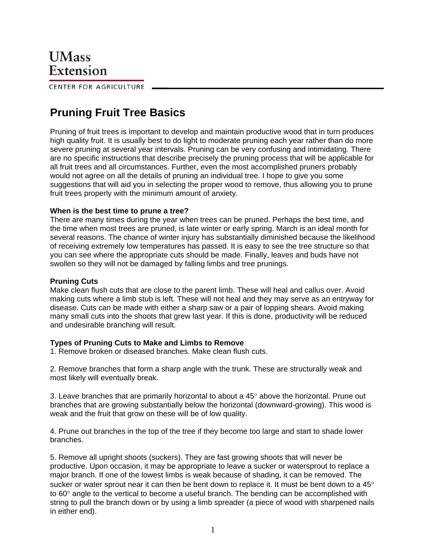CENTER FOR AGRICULTURE

# **Pruning Fruit Tree Basics**

Pruning of fruit trees is important to develop and maintain productive wood that in turn produces high quality fruit. It is usually best to do light to moderate pruning each year rather than do more severe pruning at several year intervals. Pruning can be very confusing and intimidating. There are no specific instructions that describe precisely the pruning process that will be applicable for all fruit trees and all circumstances. Further, even the most accomplished pruners probably would not agree on all the details of pruning an individual tree. I hope to give you some suggestions that will aid you in selecting the proper wood to remove, thus allowing you to prune fruit trees properly with the minimum amount of anxiety.

## **When is the best time to prune a tree?**

There are many times during the year when trees can be pruned. Perhaps the best time, and the time when most trees are pruned, is late winter or early spring. March is an ideal month for several reasons. The chance of winter injury has substantially diminished because the likelihood of receiving extremely low temperatures has passed. It is easy to see the tree structure so that you can see where the appropriate cuts should be made. Finally, leaves and buds have not swollen so they will not be damaged by falling limbs and tree prunings.

## **Pruning Cuts**

Make clean flush cuts that are close to the parent limb. These will heal and callus over. Avoid making cuts where a limb stub is left. These will not heal and they may serve as an entryway for disease. Cuts can be made with either a sharp saw or a pair of lopping shears. Avoid making many small cuts into the shoots that grew last year. If this is done, productivity will be reduced and undesirable branching will result.

## **Types of Pruning Cuts to Make and Limbs to Remove**

1. Remove broken or diseased branches. Make clean flush cuts.

2. Remove branches that form a sharp angle with the trunk. These are structurally weak and most likely will eventually break.

3. Leave branches that are primarily horizontal to about a  $45^{\circ}$  above the horizontal. Prune out branches that are growing substantially below the horizontal (downward-growing). This wood is weak and the fruit that grow on these will be of low quality.

4. Prune out branches in the top of the tree if they become too large and start to shade lower branches.

5. Remove all upright shoots (suckers). They are fast growing shoots that will never be productive. Upon occasion, it may be appropriate to leave a sucker or watersprout to replace a major branch. If one of the lowest limbs is weak because of shading, it can be removed. The sucker or water sprout near it can then be bent down to replace it. It must be bent down to a 45° to  $60^\circ$  angle to the vertical to become a useful branch. The bending can be accomplished with string to pull the branch down or by using a limb spreader (a piece of wood with sharpened nails in either end).